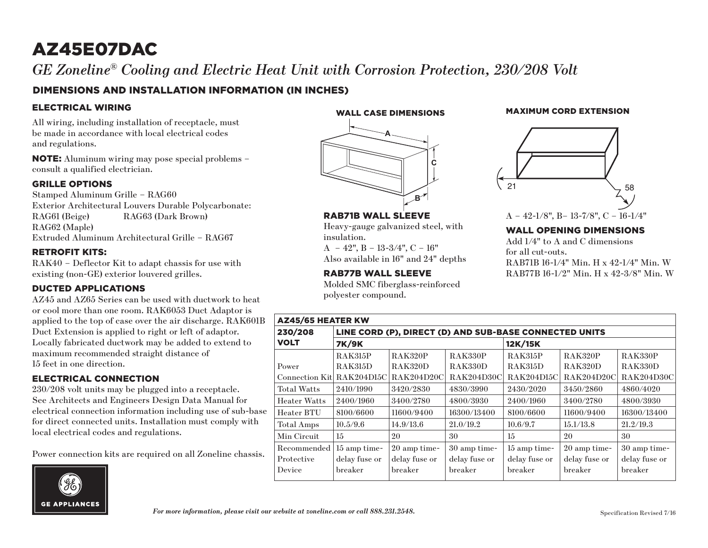## AZ45E07DAC

 $G\!E$  Zoneline® Cooling and Electric Heat Unit with Corrosion Protection, 230/208 Volt

#### DIMENSIONS AND INSTALLATION INFORMATION (IN INCHES)

#### ELECTRICAL WIRING

All wiring, including installation of receptacle, must be made in accordance with local electrical codes and regulations.

NOTE: Aluminum wiring may pose special problems – consult a qualified electrician.

#### GRILLE OPTIONS

Stamped Aluminum Grille – RAG60 Exterior Architectural Louvers Durable Polycarbonate: RAG61 (Beige) RAG63 (Dark Brown) RAG62 (Maple) Extruded Aluminum Architectural Grille – RAG67

#### RETROFIT KITS:

RAK40 – Deflector Kit to adapt chassis for use with existing (non-GE) exterior louvered grilles.

#### DUCTED APPLICATIONS

AZ45 and AZ65 Series can be used with ductwork to heat or cool more than one room. RAK6053 Duct Adaptor is applied to the top of case over the air discharge. RAK601B Duct Extension is applied to right or left of adaptor. Locally fabricated ductwork may be added to extend to maximum recommended straight distance of 15 feet in one direction.

#### ELECTRICAL CONNECTION

230/208 volt units may be plugged into a receptacle. See Architects and Engineers Design Data Manual for electrical connection information including use of sub-base for direct connected units. Installation must comply with local electrical codes and regulations.

Power connection kits are required on all Zoneline chassis.



WALL CASE DIMENSIONS

# **A C B**

RAB71B WALL SLEEVE Heavy-gauge galvanized steel, with insulation.

 $A - 42$ ",  $B - 13-3/4$ ",  $C - 16$ " Also available in 16" and 24" depths

RAB77B WALL SLEEVE

Molded SMC fiberglass-reinforced polyester compound.

# 21  $\bigcup$  58

MAXIMUM CORD EXTENSION

A – 42-1/8", B– 13-7/8", C – 16-1/4"

#### WALL OPENING DIMENSIONS

Add 1/4" to A and C dimensions for all cut-outs. RAB71B 16-1/4" Min. H x 42-1/4" Min. W RAB77B 16-1/2" Min. H x 42-3/8" Min. W

| <b>AZ45/65 HEATER KW</b> |                                                        |                   |                |                   |                   |                |
|--------------------------|--------------------------------------------------------|-------------------|----------------|-------------------|-------------------|----------------|
| 230/208                  | LINE CORD (P), DIRECT (D) AND SUB-BASE CONNECTED UNITS |                   |                |                   |                   |                |
| <b>VOLT</b>              | <b>7K/9K</b>                                           |                   |                | 12K/15K           |                   |                |
|                          | <b>RAK315P</b>                                         | <b>RAK320P</b>    | <b>RAK330P</b> | <b>RAK315P</b>    | <b>RAK320P</b>    | <b>RAK330P</b> |
| Power                    | <b>RAK315D</b>                                         | <b>RAK320D</b>    | RAK330D        | <b>RAK315D</b>    | RAK320D           | RAK330D        |
| Connection Kit           | <b>RAK204D15C</b>                                      | <b>RAK204D20C</b> | RAK204D30C     | <b>RAK204D15C</b> | <b>RAK204D20C</b> | RAK204D30C     |
| <b>Total Watts</b>       | 2410/1990                                              | 3420/2830         | 4830/3990      | 2430/2020         | 3450/2860         | 4860/4020      |
| <b>Heater Watts</b>      | 2400/1960                                              | 3400/2780         | 4800/3930      | 2400/1960         | 3400/2780         | 4800/3930      |
| Heater BTU               | 8100/6600                                              | 11600/9400        | 16300/13400    | 8100/6600         | 11600/9400        | 16300/13400    |
| Total Amps               | 10.5/9.6                                               | 14.9/13.6         | 21.0/19.2      | 10.6/9.7          | 15.1/13.8         | 21.2/19.3      |
| Min Circuit              | 15                                                     | 20                | 30             | 15                | 20                | 30             |
| Recommended              | 15 amp time-                                           | 20 amp time-      | 30 amp time-   | 15 amp time-      | 20 amp time-      | 30 amp time-   |
| Protective               | delay fuse or                                          | delay fuse or     | delay fuse or  | delay fuse or     | delay fuse or     | delay fuse or  |
| Device                   | breaker                                                | breaker           | breaker        | breaker           | breaker           | breaker        |

*For more information, please visit our website at zoneline.com or call 888.231.2548.* Specification Revised 7/16